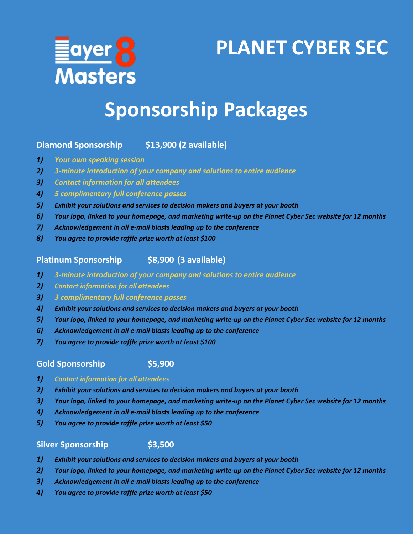

# **PLANET CYBER SEC**

## **Sponsorship Packages**

### **Diamond Sponsorship \$13,900 (2 available)**

- *1) Your own speaking session*
- *2) 3-minute introduction of your company and solutions to entire audience*
- *3) Contact information for all attendees*
- *4) 5 complimentary full conference passes*
- *5) Exhibit your solutions and services to decision makers and buyers at your booth*
- *6) Your logo, linked to your homepage, and marketing write-up on the Planet Cyber Sec website for 12 months*
- *7) Acknowledgement in all e-mail blasts leading up to the conference*
- *8) You agree to provide raffle prize worth at least \$100*

#### **Platinum Sponsorship \$8,900 (3 available)**

- *1) 3-minute introduction of your company and solutions to entire audience*
- *2) Contact information for all attendees*
- *3) 3 complimentary full conference passes*
- *4) Exhibit your solutions and services to decision makers and buyers at your booth*
- *5) Your logo, linked to your homepage, and marketing write-up on the Planet Cyber Sec website for 12 months*
- *6) Acknowledgement in all e-mail blasts leading up to the conference*
- *7) You agree to provide raffle prize worth at least \$100*

#### **Gold Sponsorship \$5,900**

#### *1) Contact information for all attendees*

- *2) Exhibit your solutions and services to decision makers and buyers at your booth*
- *3) Your logo, linked to your homepage, and marketing write-up on the Planet Cyber Sec website for 12 months*
- *4) Acknowledgement in all e-mail blasts leading up to the conference*
- *5) You agree to provide raffle prize worth at least \$50*

#### **Silver Sponsorship \$3,500**

- *1) Exhibit your solutions and services to decision makers and buyers at your booth*
- *2) Your logo, linked to your homepage, and marketing write-up on the Planet Cyber Sec website for 12 months*
- *3) Acknowledgement in all e-mail blasts leading up to the conference*
- *4) You agree to provide raffle prize worth at least \$50*